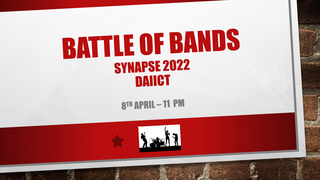## **BATTLE OF BANDS SYNAPSE 2022** DAIICT

8TH APRIL-11 PM

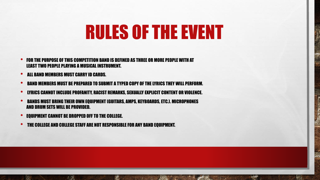## RULES OF THE EVENT

- FOR THE PURPOSE OF THIS COMPETITION BAND IS DEFINED AS THREE OR MORE PEOPLE WITH AT LEAST TWO PEOPLE PLAYING A MUSICAL INSTRUMENT.
- ALL BAND MEMBERS MUST CARRY ID CARDS.

 $\frac{1}{2}$ 

- BAND MEMBERS MUST BE PREPARED TO SUBMIT A TYPED COPY OF THE LYRICS THEY WILL PERFORM.
- LYRICS CANNOT INCLUDE PROFANITY, RACIST REMARKS, SEXUALLY EXPLICIT CONTENT OR VIOLENCE.
- BANDS MUST BRING THEIR OWN EQUIPMENT (GUITARS, AMPS, KEYBOARDS, ETC.). MICROPHONES AND DRUM SETS WILL BE PROVIDED.

激。

**EQUIPMENT CANNOT BE DROPPED OFF TO THE COLLEGE.** 

 $\mathbb{Z}_{\geq 0}$ 

• THE COLLEGE AND COLLEGE STAFF ARE NOT RESPONSIBLE FOR ANY BAND EQUIPMENT.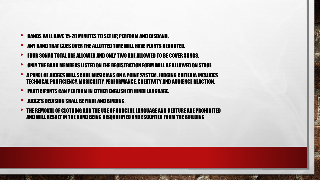- BANDS WILL HAVE 15-20 MINUTES TO SET UP, PERFORM AND DISBAND.
- ANY BAND THAT GOES OVER THE ALLOTTED TIME WILL HAVE POINTS DEDUCTED.
- FOUR SONGS TOTAL ARE ALLOWED AND ONLY TWO ARE ALLOWED TO BE COVER SONGS.
- ONLY THE BAND MEMBERS LISTED ON THE REGISTRATION FORM WILL BE ALLOWED ON STAGE
- A PANEL OF JUDGES WILL SCORE MUSICIANS ON A POINT SYSTEM. JUDGING CRITERIA INCLUDES TECHNICAL PROFICIENCY, MUSICALITY, PERFORMANCE, CREATIVITY AND AUDIENCE REACTION.
- PARTICIPANTS CAN PERFORM IN EITHER ENGLISH OR HINDI LANGUAGE.
- JUDGE'S DECISION SHALL BE FINAL AND BINDING.

 $f_{\rm{max}}$ 

 $\frac{1}{2}$ 

• THE REMOVAL OF CLOTHING AND THE USE OF OBSCENE LANGUAGE AND GESTURE ARE PROHIBITED AND WILL RESULT IN THE BAND BEING DISQUALIFIED AND ESCORTED FROM THE BUILDING